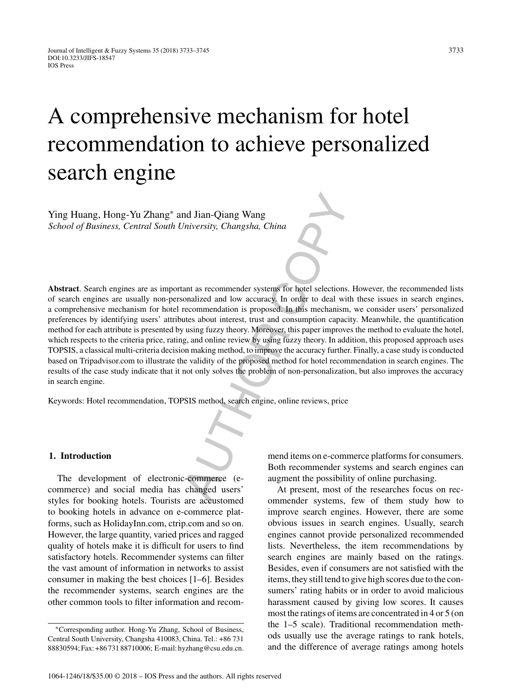# A comprehensive mechanism for hotel recommendation to achieve personalized search engine

Ying Huang, Hong-Yu Zhang<sup>∗</sup> and Jian-Qiang Wang *School of Business, Central South University, Changsha, China*

nd Jian-Qiang Wang<br>
Aniversity, Changsha, China<br>
Aniversity, Changsha, China<br>
Aniversity, Changsha, China<br>
Aniversity and a low accuracy. In order to deal wit<br>
recommendation is proposed. In this mechanism<br>
and online revi **Abstract**. Search engines are as important as recommender systems for hotel selections. However, the recommended lists of search engines are usually non-personalized and low accuracy. In order to deal with these issues in search engines, a comprehensive mechanism for hotel recommendation is proposed. In this mechanism, we consider users' personalized preferences by identifying users' attributes about interest, trust and consumption capacity. Meanwhile, the quantification method for each attribute is presented by using fuzzy theory. Moreover, this paper improves the method to evaluate the hotel, which respects to the criteria price, rating, and online review by using fuzzy theory. In addition, this proposed approach uses TOPSIS, a classical multi-criteria decision making method, to improve the accuracy further. Finally, a case study is conducted based on Tripadvisor.com to illustrate the validity of the proposed method for hotel recommendation in search engines. The results of the case study indicate that it not only solves the problem of non-personalization, but also improves the accuracy in search engine.

Keywords: Hotel recommendation, TOPSIS method, search engine, online reviews, price

#### **1. Introduction**

The development of electronic-commerce (ecommerce) and social media has changed users' styles for booking hotels. Tourists are accustomed to booking hotels in advance on e-commerce platforms, such as HolidayInn.com, ctrip.com and so on. However, the large quantity, varied prices and ragged quality of hotels make it is difficult for users to find satisfactory hotels. Recommender systems can filter the vast amount of information in networks to assist consumer in making the best choices [1–6]. Besides the recommender systems, search engines are the other common tools to filter information and recommend items on e-commerce platforms for consumers. Both recommender systems and search engines can augment the possibility of online purchasing.

At present, most of the researches focus on recommender systems, few of them study how to improve search engines. However, there are some obvious issues in search engines. Usually, search engines cannot provide personalized recommended lists. Nevertheless, the item recommendations by search engines are mainly based on the ratings. Besides, even if consumers are not satisfied with the items, they still tend to give high scores due to the consumers' rating habits or in order to avoid malicious harassment caused by giving low scores. It causes most the ratings of items are concentrated in 4 or 5 (on the 1–5 scale). Traditional recommendation methods usually use the average ratings to rank hotels, and the difference of average ratings among hotels

<sup>∗</sup>Corresponding author. Hong-Yu Zhang, School of Business, Central South University, Changsha 410083, China. Tel.: +86 731 88830594; Fax: +86 731 88710006; E-mail: [hyzhang@csu.edu.cn](mailto:hyzhang@csu.edu.cn).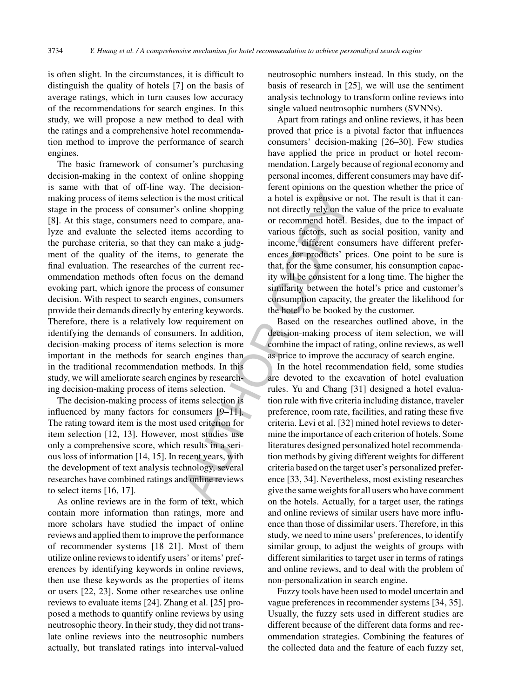is often slight. In the circumstances, it is difficult to distinguish the quality of hotels [7] on the basis of average ratings, which in turn causes low accuracy of the recommendations for search engines. In this study, we will propose a new method to deal with the ratings and a comprehensive hotel recommendation method to improve the performance of search engines.

the most critical<br>
online shopping<br>
to compare, ana-<br>
or recommend hotel.<br>
Ims according to<br>
to compare, ana-<br>
or recommend hotel.<br>
the current rec-<br>
that, for the same consumers<br>
in make a judg-<br>
income, different con<br>
to The basic framework of consumer's purchasing decision-making in the context of online shopping is same with that of off-line way. The decisionmaking process of items selection is the most critical stage in the process of consumer's online shopping [8]. At this stage, consumers need to compare, analyze and evaluate the selected items according to the purchase criteria, so that they can make a judgment of the quality of the items, to generate the final evaluation. The researches of the current recommendation methods often focus on the demand evoking part, which ignore the process of consumer decision. With respect to search engines, consumers provide their demands directly by entering keywords. Therefore, there is a relatively low requirement on identifying the demands of consumers. In addition, decision-making process of items selection is more important in the methods for search engines than in the traditional recommendation methods. In this study, we will ameliorate search engines by researching decision-making process of items selection.

The decision-making process of items selection is influenced by many factors for consumers [9–11]. The rating toward item is the most used criterion for item selection [12, 13]. However, most studies use only a comprehensive score, which results in a serious loss of information [14, 15]. In recent years, with the development of text analysis technology, several researches have combined ratings and online reviews to select items [16, 17].

As online reviews are in the form of text, which contain more information than ratings, more and more scholars have studied the impact of online reviews and applied them to improve the performance of recommender systems [18–21]. Most of them utilize online reviews to identify users' or items' preferences by identifying keywords in online reviews, then use these keywords as the properties of items or users [22, 23]. Some other researches use online reviews to evaluate items [24]. Zhang et al. [25] proposed a methods to quantify online reviews by using neutrosophic theory. In their study, they did not translate online reviews into the neutrosophic numbers actually, but translated ratings into interval-valued neutrosophic numbers instead. In this study, on the basis of research in [25], we will use the sentiment analysis technology to transform online reviews into single valued neutrosophic numbers (SVNNs).

Apart from ratings and online reviews, it has been proved that price is a pivotal factor that influences consumers' decision-making [26–30]. Few studies have applied the price in product or hotel recommendation. Largely because of regional economy and personal incomes, different consumers may have different opinions on the question whether the price of a hotel is expensive or not. The result is that it cannot directly rely on the value of the price to evaluate or recommend hotel. Besides, due to the impact of various factors, such as social position, vanity and income, different consumers have different preferences for products' prices. One point to be sure is that, for the same consumer, his consumption capacity will be consistent for a long time. The higher the similarity between the hotel's price and customer's consumption capacity, the greater the likelihood for the hotel to be booked by the customer.

Based on the researches outlined above, in the decision-making process of item selection, we will combine the impact of rating, online reviews, as well as price to improve the accuracy of search engine.

In the hotel recommendation field, some studies are devoted to the excavation of hotel evaluation rules. Yu and Chang [31] designed a hotel evaluation rule with five criteria including distance, traveler preference, room rate, facilities, and rating these five criteria. Levi et al. [32] mined hotel reviews to determine the importance of each criterion of hotels. Some literatures designed personalized hotel recommendation methods by giving different weights for different criteria based on the target user's personalized preference [33, 34]. Nevertheless, most existing researches give the same weights for all users who have comment on the hotels. Actually, for a target user, the ratings and online reviews of similar users have more influence than those of dissimilar users. Therefore, in this study, we need to mine users' preferences, to identify similar group, to adjust the weights of groups with different similarities to target user in terms of ratings and online reviews, and to deal with the problem of non-personalization in search engine.

Fuzzy tools have been used to model uncertain and vague preferences in recommender systems [34, 35]. Usually, the fuzzy sets used in different studies are different because of the different data forms and recommendation strategies. Combining the features of the collected data and the feature of each fuzzy set,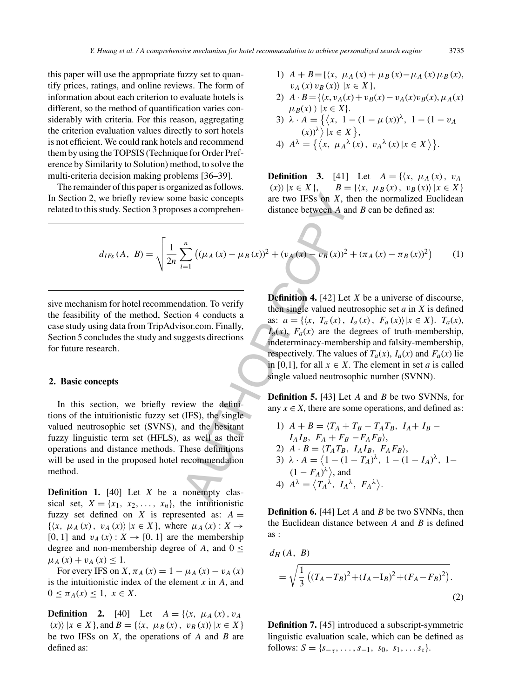this paper will use the appropriate fuzzy set to quantify prices, ratings, and online reviews. The form of information about each criterion to evaluate hotels is different, so the method of quantification varies considerably with criteria. For this reason, aggregating the criterion evaluation values directly to sort hotels is not efficient. We could rank hotels and recommend them by using the TOPSIS (Technique for Order Preference by Similarity to Solution) method, to solve the multi-criteria decision making problems [36–39].

The remainder of this paper is organized as follows. In Section 2, we briefly review some basic concepts related to this study. Section 3 proposes a comprehen-

- 1)  $A + B = \{ \langle x, \mu_A(x) + \mu_B(x) \mu_A(x) \mu_B(x) \rangle,$  $v_A(x)v_B(x)$  | $x \in X$  },
- 2)  $A \cdot B = \{ \langle x, v_A(x) + v_B(x) v_A(x)v_B(x), \mu_A(x) \rangle \}$  $\mu_B(x)$   $|x \in X$ .

3) 
$$
\lambda \cdot A = \{ \langle x, 1 - (1 - \mu(x)) \lambda, 1 - (1 - v_A(x)) \lambda \rangle | x \in X \},
$$
  
4)  $A^{\lambda} = \{ \langle x, \mu_A^{\lambda}(x), v_A^{\lambda}(x) | x \in X \rangle \}.$ 

**Definition 3.** [41] Let  $A = \{(x, \mu_A(x), v_A(x)) | x \in X \}$ ,  $B = \{(x, \mu_B(x), v_B(x)) | x \in X \}$  $B = \{ \langle x, \mu_B(x), v_B(x) \rangle | x \in X \}$ are two IFSs on *X*, then the normalized Euclidean distance between *A* and *B* can be defined as:

$$
d_{IFs}(A, B) = \sqrt{\frac{1}{2n} \sum_{i=1}^{n} \left( (\mu_A(x) - \mu_B(x))^2 + (v_A(x) - v_B(x))^2 + (\pi_A(x) - \pi_B(x))^2 \right)}
$$
(1)

sive mechanism for hotel recommendation. To verify the feasibility of the method, Section 4 conducts a case study using data from TripAdvisor.com. Finally, Section 5 concludes the study and suggests directions for future research.

#### **2. Basic concepts**

In this section, we briefly review the definitions of the intuitionistic fuzzy set (IFS), the single valued neutrosophic set (SVNS), and the hesitant fuzzy linguistic term set (HFLS), as well as their operations and distance methods. These definitions will be used in the proposed hotel recommendation method.

**Definition 1.** [40] Let *X* be a nonempty classical set,  $X = \{x_1, x_2, \ldots, x_n\}$ , the intuitionistic fuzzy set defined on *X* is represented as:  $A =$  $\{\langle x, \mu_A(x), v_A(x) \rangle | x \in X\}$ , where  $\mu_A(x) : X \rightarrow$  $[0, 1]$  and  $v_A(x)$ :  $X \rightarrow [0, 1]$  are the membership degree and non-membership degree of *A*, and  $0 \leq$  $\mu_A(x) + v_A(x) \leq 1.$ 

For every IFS on *X*,  $\pi_A(x) = 1 - \mu_A(x) - v_A(x)$ is the intuitionistic index of the element *x* in *A*, and  $0 \leq \pi_A(x) \leq 1, \; x \in X.$ 

**Definition 2.** [40] Let  $A = \{(x, \mu_A(x), v_A\})$  $(x)$  | $x \in X$  }, and  $B = \{ \langle x, \mu_B(x), v_B(x) \rangle | x \in X \}$ be two IFSs on *X*, the operations of *A* and *B* are defined as:

be basic concepts<br>  $\begin{array}{ll}\n\text{RSE} & \text{are two IFSs on } X, \text{ it} \\
\hline\n\text{RSE} & \text{incomplete the } A \text{ at } A \text{ at } B \text{ at } B \text{ at } B \text{ at } B \text{ at } B \text{ at } B \text{ at } B \text{ at } B \text{ at } B \text{ at } B \text{ at } B \text{ at } B \text{ at } B \text{ at } B \text{ at } B \text{ at } B \text{ at } B \text{ at } B \text{ at } B \text{ at } B \text{ at } B \text{ at } B \text{ at } B \text{ at }$ **Definition 4.** [42] Let *X* be a universe of discourse, then single valued neutrosophic set *a* in *X* is defined as:  $a = \{ \langle x, T_a(x), I_a(x), F_a(x) \rangle | x \in X \}. T_a(x),$  $I_a(x)$ ,  $F_a(x)$  are the degrees of truth-membership, indeterminacy-membership and falsity-membership, respectively. The values of  $T_a(x)$ ,  $I_a(x)$  and  $F_a(x)$  lie in [0,1], for all  $x \in X$ . The element in set *a* is called single valued neutrosophic number (SVNN).

**Definition 5.** [43] Let *A* and *B* be two SVNNs, for any  $x \in X$ , there are some operations, and defined as:

1)  $A + B = \langle T_A + T_B - T_A T_B, I_A + I_B I_A I_B$ ,  $F_A + F_B - F_A F_B$ , 2)  $A \cdot B = \langle T_A T_B, I_A I_B, F_A F_B \rangle$ , 3)  $\lambda \cdot A = \langle 1 - (1 - T_A)^{\lambda}, 1 - (1 - I_A)^{\lambda}, 1 - (1 - I_A)^{\lambda} \rangle$  $(1 - F_A)^{\lambda}$ , and 4)  $A^{\lambda} = \langle T_A^{\lambda}, I_A^{\lambda}, F_A^{\lambda} \rangle$ .

**Definition 6.** [44] Let *A* and *B* be two SVNNs, then the Euclidean distance between *A* and *B* is defined as :

$$
d_H(A, B)
$$
  
=  $\sqrt{\frac{1}{3} ((T_A - T_B)^2 + (I_A - I_B)^2 + (F_A - F_B)^2)}$ . (2)

**Definition 7.** [45] introduced a subscript-symmetric linguistic evaluation scale, which can be defined as follows:  $S = \{s_{-\tau}, \ldots, s_{-1}, s_0, s_1, \ldots s_{\tau}\}.$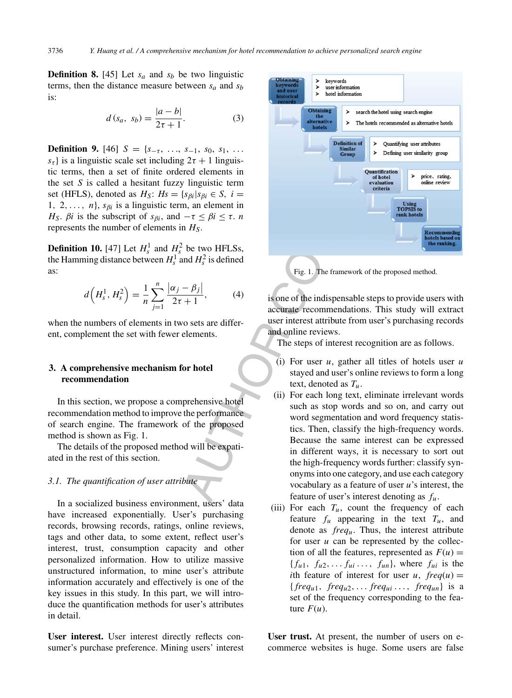**Definition 8.** [45] Let  $s_a$  and  $s_b$  be two linguistic terms, then the distance measure between  $s_a$  and  $s_b$ is:

$$
d(s_a, s_b) = \frac{|a - b|}{2\tau + 1}.
$$
 (3)

**Definition 9.** [46]  $S = \{s_{-\tau}, \ldots, s_{-1}, s_0, s_1, \ldots\}$  $s_{\tau}$  is a linguistic scale set including  $2\tau + 1$  linguistic terms, then a set of finite ordered elements in the set *S* is called a hesitant fuzzy linguistic term set (HFLS), denoted as  $H_S$ :  $H_S = \{s_{\beta i} | s_{\beta i} \in S, i =$ 1*,* 2*,..., n*}, *sβi* is a linguistic term, an element in *H<sub>S</sub>*. *βi* is the subscript of  $s_{\beta i}$ , and  $-\tau \leq \beta i \leq \tau$ . *n* represents the number of elements in *HS*.

**Definition 10.** [47] Let  $H_s^1$  and  $H_s^2$  be two HFLSs, the Hamming distance between  $H_s^1$  and  $H_s^2$  is defined as:

$$
d\left(H_s^1, H_s^2\right) = \frac{1}{n} \sum_{j=1}^n \frac{|\alpha_j - \beta_j|}{2\tau + 1},
$$
 (4)

when the numbers of elements in two sets are different, complement the set with fewer elements.

## **3. A comprehensive mechanism for hotel recommendation**

In this section, we propose a comprehensive hotel recommendation method to improve the performance of search engine. The framework of the proposed method is shown as Fig. 1.

The details of the proposed method will be expatiated in the rest of this section.

#### *3.1. The quantification of user attribute*

In a socialized business environment, users' data have increased exponentially. User's purchasing records, browsing records, ratings, online reviews, tags and other data, to some extent, reflect user's interest, trust, consumption capacity and other personalized information. How to utilize massive unstructured information, to mine user's attribute information accurately and effectively is one of the key issues in this study. In this part, we will introduce the quantification methods for user's attributes in detail.

**User interest.** User interest directly reflects consumer's purchase preference. Mining users' interest



Fig. 1. The framework of the proposed method.

is one of the indispensable steps to provide users with accurate recommendations. This study will extract user interest attribute from user's purchasing records and online reviews.

The steps of interest recognition are as follows.

- $(i)$  For user *u*, gather all titles of hotels user *u* stayed and user's online reviews to form a long text, denoted as *Tu*.
- $\{s_{\beta i} | s_{\beta i} \in S, i = \n\pi, \text{ an element in } \pi \leq \beta i \leq \tau.\n\}$ <br>  $\pi H_S$ .<br>  $\geq \log \log \pi$  be two HFLSs,<br>  $\pi H_S$ .<br>  $\geq \log \log \pi$  be two HFLSs,<br>  $\pi H_S$ .<br>  $\geq \log \log \pi$  is one of the indispension accurate recommendary<br>  $\geq \beta$ .<br>  $\geq \log \pi$  is o (ii) For each long text, eliminate irrelevant words such as stop words and so on, and carry out word segmentation and word frequency statistics. Then, classify the high-frequency words. Because the same interest can be expressed in different ways, it is necessary to sort out the high-frequency words further: classify synonyms into one category, and use each category vocabulary as a feature of user *u*'s interest, the feature of user's interest denoting as *fu*.
	- (iii) For each  $T_u$ , count the frequency of each feature  $f_u$  appearing in the text  $T_u$ , and denote as *frequ*. Thus, the interest attribute for user *u* can be represented by the collection of all the features, represented as  $F(u) =$  ${f<sub>u1</sub>, f<sub>u2</sub>, \ldots, f<sub>ui</sub>, f<sub>un</sub>}, where f<sub>ui</sub> is the$ *i*th feature of interest for user *u*,  $freq(u) =$  ${freq_{u1}, freq_{u2}, \ldots freq_{ui} \ldots, freq_{un}}$  is a set of the frequency corresponding to the feature  $F(u)$ .

**User trust.** At present, the number of users on ecommerce websites is huge. Some users are false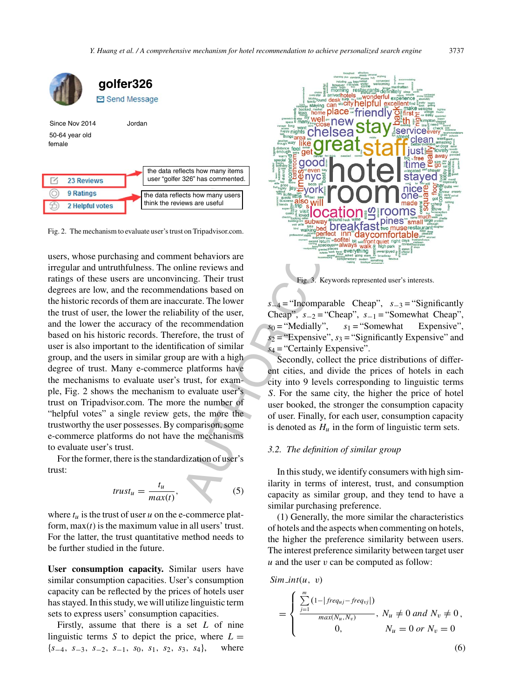

Fig. 2. The mechanism to evaluate user's trust on Tripadvisor.com.

Exerces the murder of user SCR and the mechanisms<br>
discussed in the mechanisms<br>
and the set of the set of the set of the set of the set of the set of the set of the set of the set of the set of the set of the set of the s users, whose purchasing and comment behaviors are irregular and untruthfulness. The online reviews and ratings of these users are unconvincing. Their trust degrees are low, and the recommendations based on the historic records of them are inaccurate. The lower the trust of user, the lower the reliability of the user, and the lower the accuracy of the recommendation based on his historic records. Therefore, the trust of user is also important to the identification of similar group, and the users in similar group are with a high degree of trust. Many e-commerce platforms have the mechanisms to evaluate user's trust, for example, Fig. 2 shows the mechanism to evaluate user's trust on Tripadvisor.com. The more the number of "helpful votes" a single review gets, the more the trustworthy the user possesses. By comparison, some e-commerce platforms do not have the mechanisms to evaluate user's trust.

For the former, there is the standardization of user's trust:

$$
trust_u = \frac{t_u}{max(t)},
$$
 (5)

where  $t_u$  is the trust of user  $u$  on the e-commerce platform,  $max(t)$  is the maximum value in all users' trust. For the latter, the trust quantitative method needs to be further studied in the future.

**User consumption capacity.** Similar users have similar consumption capacities. User's consumption capacity can be reflected by the prices of hotels user has stayed. In this study, we will utilize linguistic term sets to express users' consumption capacities.

Firstly, assume that there is a set *L* of nine linguistic terms *S* to depict the price, where  $L =$ {*s*−4*, s*−3*, s*−2*, s*−1*, s*0*, s*1*, s*2*, s*3*, s*4}, where



Fig. 3. Keywords represented user's interests.

*s*−<sup>4</sup> = "Incomparable Cheap", *s*−<sup>3</sup> = "Significantly Cheap",  $s_{-2}$  = "Cheap",  $s_{-1}$  = "Somewhat Cheap",<br> $s_0$  = "Medially",  $s_1$  = "Somewhat Expensive",  $s_0$  = "Medially",  $s_1$  = "Somewhat Expensive",  $s_2$  = "Expensive",  $s_3$  = "Significantly Expensive" and *s*<sup>4</sup> = "Certainly Expensive".

Secondly, collect the price distributions of different cities, and divide the prices of hotels in each city into 9 levels corresponding to linguistic terms *S*. For the same city, the higher the price of hotel user booked, the stronger the consumption capacity of user. Finally, for each user, consumption capacity is denoted as  $H_u$  in the form of linguistic term sets.

#### *3.2. The definition of similar group*

In this study, we identify consumers with high similarity in terms of interest, trust, and consumption capacity as similar group, and they tend to have a similar purchasing preference.

(1) Generally, the more similar the characteristics of hotels and the aspects when commenting on hotels, the higher the preference similarity between users. The interest preference similarity between target user *u* and the user *v* can be computed as follow:

$$
\begin{aligned} \n\textit{Sim\_int}(u, \ v) \\
&= \begin{cases} \n\sum_{j=1}^{m} (1 - |freq_{uj} - freq_{vj}|) \\
\frac{\sum_{j=1}^{m} (1 - |freq_{uj} - freq_{vj}|)}{max(N_u, N_v)}, \ N_u \neq 0 \text{ and } N_v \neq 0, \\
0, \quad N_u = 0 \text{ or } N_v = 0\n\end{cases} \n\end{aligned}
$$

(6)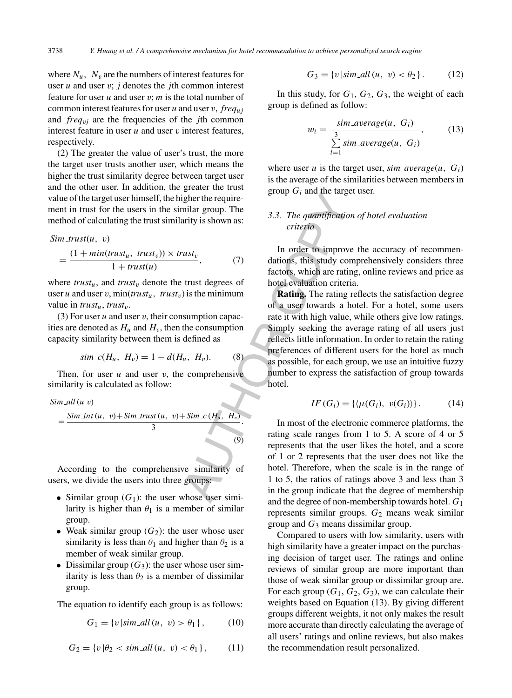where  $N_u$ ,  $N_v$  are the numbers of interest features for user *u* and user *v*; *j* denotes the *j*th common interest feature for user *u* and user *v*; *m* is the total number of common interest features for user *u* and user *v*, *frequj* and *freqvj* are the frequencies of the *j*th common interest feature in user *u* and user *v* interest features, respectively.

(2) The greater the value of user's trust, the more the target user trusts another user, which means the higher the trust similarity degree between target user and the other user. In addition, the greater the trust value of the target user himself, the higher the requirement in trust for the users in the similar group. The method of calculating the trust similarity is shown as:

$$
Sim\_trust(u, v)
$$
  
= 
$$
\frac{(1 + min(trust_u, trust_v)) \times trust_v}{1 + trust(u)},
$$
 (7)

where  $trust_u$ , and  $trust_v$  denote the trust degrees of user *u* and user *v*, min(*trust<sub>u</sub>*, *trust<sub>v</sub>*) is the minimum value in  $trust<sub>u</sub>$ ,  $trust<sub>v</sub>$ .

(3) For user *u* and user *v*, their consumption capacities are denoted as  $H_u$  and  $H_v$ , then the consumption capacity similarity between them is defined as

$$
sim_{\mathcal{L}}(H_u, H_v) = 1 - d(H_u, H_v).
$$
 (8)

Then, for user  $u$  and user  $v$ , the comprehensive similarity is calculated as follow:

$$
\begin{aligned} \textit{Sim\_all (u v)}\\ &= \frac{\textit{Sim\_int (u, v)} + \textit{Sim\_trust (u, v)} + \textit{Sim\_c (H_u, H_v)}}{3}. \end{aligned}
$$
\n
$$
\tag{9}
$$

According to the comprehensive similarity of users, we divide the users into three groups:

- Similar group  $(G_1)$ : the user whose user similarity is higher than  $\theta_1$  is a member of similar group.
- Weak similar group  $(G_2)$ : the user whose user similarity is less than  $\theta_1$  and higher than  $\theta_2$  is a member of weak similar group.
- Dissimilar group  $(G_3)$ : the user whose user similarity is less than  $\theta_2$  is a member of dissimilar group.

The equation to identify each group is as follows:

$$
G_1 = \{v \mid \text{sim\_all}(u, v) > \theta_1\},\tag{10}
$$

$$
G_2 = \{v \,|\, \theta_2 < \sin\, all \,(u, \,v) < \theta_1\},\tag{11}
$$

$$
G_3 = \{v \, | \, \text{sim\_all}(u, \ v) < \theta_2 \} \,. \tag{12}
$$

In this study, for  $G_1$ ,  $G_2$ ,  $G_3$ , the weight of each group is defined as follow:

$$
w_i = \frac{\text{sim} \text{average}(u, G_i)}{\sum\limits_{l=1}^{3} \text{sim} \text{average}(u, G_i)},
$$
(13)

where user *u* is the target user,  $sim\_average(u, G<sub>i</sub>)$ is the average of the similarities between members in group *Gi* and the target user.

## *3.3. The quantification of hotel evaluation criteria*

In order to improve the accuracy of recommendations, this study comprehensively considers three factors, which are rating, online reviews and price as hotel evaluation criteria.

Example the require-<br>
anity is shown as:<br>  $\begin{array}{ll}\n \text{with } \mathbf{r} \text{ is shown as:}\n \end{array}$   $\begin{array}{ll}\n \text{and } \mathbf{r} \text{ is shown as:}\n \end{array}$   $\begin{array}{ll}\n \text{and } \mathbf{r} \text{ is given by } \mathbf{r} \text{ is given by } \mathbf{r} \text{ is given by } \mathbf{r} \text{ is given by } \mathbf{r} \text{ is given by } \mathbf{r} \text{ is given by } \mathbf{r} \text{ is given by } \math$ **Rating.** The rating reflects the satisfaction degree of a user towards a hotel. For a hotel, some users rate it with high value, while others give low ratings. Simply seeking the average rating of all users just reflects little information. In order to retain the rating preferences of different users for the hotel as much as possible, for each group, we use an intuitive fuzzy number to express the satisfaction of group towards hotel.

$$
IF(G_i) = {\langle \mu(G_i), \ v(G_i) \rangle}.
$$
 (14)

In most of the electronic commerce platforms, the rating scale ranges from 1 to 5. A score of 4 or 5 represents that the user likes the hotel, and a score of 1 or 2 represents that the user does not like the hotel. Therefore, when the scale is in the range of 1 to 5, the ratios of ratings above 3 and less than 3 in the group indicate that the degree of membership and the degree of non-membership towards hotel. *G*<sup>1</sup> represents similar groups.  $G_2$  means weak similar group and *G*<sup>3</sup> means dissimilar group.

Compared to users with low similarity, users with high similarity have a greater impact on the purchasing decision of target user. The ratings and online reviews of similar group are more important than those of weak similar group or dissimilar group are. For each group  $(G_1, G_2, G_3)$ , we can calculate their weights based on Equation (13). By giving different groups different weights, it not only makes the result more accurate than directly calculating the average of all users' ratings and online reviews, but also makes the recommendation result personalized.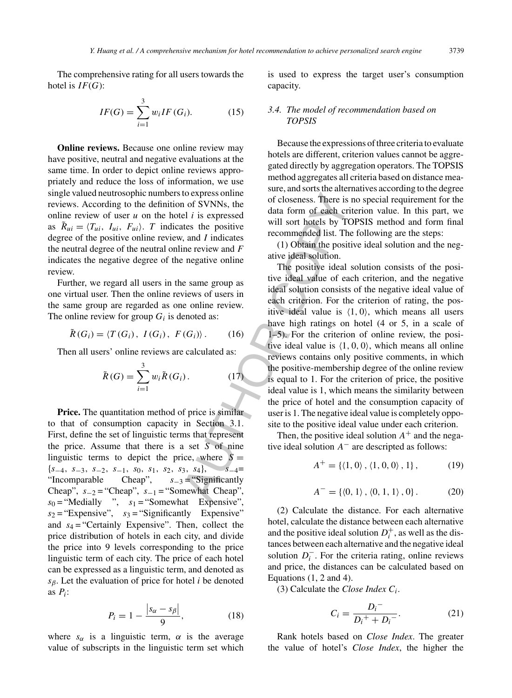The comprehensive rating for all users towards the hotel is *IF*(*G*):

$$
IF(G) = \sum_{i=1}^{3} w_i IF(G_i).
$$
 (15)

**Online reviews.** Because one online review may have positive, neutral and negative evaluations at the same time. In order to depict online reviews appropriately and reduce the loss of information, we use single valued neutrosophic numbers to express online reviews. According to the definition of SVNNs, the online review of user  $u$  on the hotel  $i$  is expressed as  $\tilde{R}_{ui} = \langle T_{ui}, I_{ui}, F_{ui} \rangle$ . *T* indicates the positive degree of the positive online review, and *I* indicates the neutral degree of the neutral online review and *F* indicates the negative degree of the negative online review.

Further, we regard all users in the same group as one virtual user. Then the online reviews of users in the same group are regarded as one online review. The online review for group  $G_i$  is denoted as:

$$
\tilde{R}(G_i) = \langle T(G_i), I(G_i), F(G_i) \rangle. \qquad (16)
$$

Then all users' online reviews are calculated as:

$$
\tilde{R}(G) = \sum_{i=1}^{3} w_i \tilde{R}(G_i).
$$
 (17)

**Price.** The quantitation method of price is similar to that of consumption capacity in Section 3.1. First, define the set of linguistic terms that represent the price. Assume that there is a set *S* of nine linguistic terms to depict the price, where  $S =$ {*s*−4*, s*−3*, s*−2*, s*−1*, s*0*, s*1*, s*2*, s*3*, s*4}, *s*−4= *s*−3 = "Significantly Cheap", *s*−<sup>2</sup> = "Cheap", *s*−<sup>1</sup> = "Somewhat Cheap",  $s_0$  = "Medially ",  $s_1$  = "Somewhat Expensive",  $s_2$  = "Expensive",  $s_3$  = "Significantly Expensive" and  $s_4$  = "Certainly Expensive". Then, collect the price distribution of hotels in each city, and divide the price into 9 levels corresponding to the price linguistic term of each city. The price of each hotel can be expressed as a linguistic term, and denoted as *sβ*. Let the evaluation of price for hotel *i* be denoted as *Pi*:

$$
P_i = 1 - \frac{|s_\alpha - s_\beta|}{9},\tag{18}
$$

where  $s_{\alpha}$  is a linguistic term,  $\alpha$  is the average value of subscripts in the linguistic term set which is used to express the target user's consumption capacity.

## *3.4. The model of recommendation based on TOPSIS*

Because the expressions of three criteria to evaluate hotels are different, criterion values cannot be aggregated directly by aggregation operators. The TOPSIS method aggregates all criteria based on distance measure, and sorts the alternatives according to the degree of closeness. There is no special requirement for the data form of each criterion value. In this part, we will sort hotels by TOPSIS method and form final recommended list. The following are the steps:

(1) Obtain the positive ideal solution and the negative ideal solution.

to expression and of SVNNs, the<br>
of SVNNs, the<br>
of closeness. There is<br>
data form of each critical<br>
these the positive<br>  $x_i$ , and I indicates<br>
in erview and F<br>  $x_i$  and I indicates<br>
in erview and F<br>  $x_i$  and I indicates<br> The positive ideal solution consists of the positive ideal value of each criterion, and the negative ideal solution consists of the negative ideal value of each criterion. For the criterion of rating, the positive ideal value is  $(1, 0)$ , which means all users have high ratings on hotel (4 or 5, in a scale of 1–5). For the criterion of online review, the positive ideal value is  $(1, 0, 0)$ , which means all online reviews contains only positive comments, in which the positive-membership degree of the online review is equal to 1. For the criterion of price, the positive ideal value is 1, which means the similarity between the price of hotel and the consumption capacity of user is 1. The negative ideal value is completely opposite to the positive ideal value under each criterion.

Then, the positive ideal solution  $A^+$  and the negative ideal solution *A*<sup>−</sup> are descripted as follows:

$$
A^{+} = \{ \langle 1, 0 \rangle, \langle 1, 0, 0 \rangle, 1 \}, \tag{19}
$$

$$
A^{-} = \{ \langle 0, 1 \rangle, \langle 0, 1, 1 \rangle, 0 \}.
$$
 (20)

(2) Calculate the distance. For each alternative hotel, calculate the distance between each alternative and the positive ideal solution  $D_i^+$ , as well as the distances between each alternative and the negative ideal solution  $D_i^-$ . For the criteria rating, online reviews and price, the distances can be calculated based on Equations  $(1, 2 \text{ and } 4)$ .

(3) Calculate the *Close Index Ci*.

$$
C_i = \frac{D_i^-}{D_i^+ + D_i^-}.\tag{21}
$$

Rank hotels based on *Close Index*. The greater the value of hotel's *Close Index*, the higher the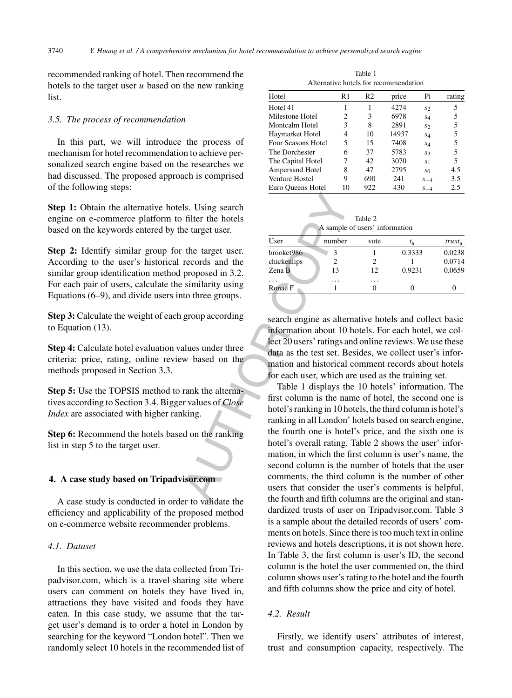recommended ranking of hotel. Then recommend the hotels to the target user *u* based on the new ranking list.

#### *3.5. The process of recommendation*

In this part, we will introduce the process of mechanism for hotel recommendation to achieve personalized search engine based on the researches we had discussed. The proposed approach is comprised of the following steps:

**Step 1:** Obtain the alternative hotels. Using search engine on e-commerce platform to filter the hotels based on the keywords entered by the target user.

**Step 2:** Identify similar group for the target user. According to the user's historical records and the similar group identification method proposed in 3.2. For each pair of users, calculate the similarity using Equations (6–9), and divide users into three groups.

**Step 3:** Calculate the weight of each group according to Equation (13).

**Step 4:** Calculate hotel evaluation values under three criteria: price, rating, online review based on the methods proposed in Section 3.3.

**Step 5:** Use the TOPSIS method to rank the alternatives according to Section 3.4. Bigger values of *Close Index* are associated with higher ranking.

**Step 6:** Recommend the hotels based on the ranking list in step 5 to the target user.

## **4. A case study based on Tripadvisor.com**

A case study is conducted in order to validate the efficiency and applicability of the proposed method on e-commerce website recommender problems.

## *4.1. Dataset*

In this section, we use the data collected from Tripadvisor.com, which is a travel-sharing site where users can comment on hotels they have lived in, attractions they have visited and foods they have eaten. In this case study, we assume that the target user's demand is to order a hotel in London by searching for the keyword "London hotel". Then we randomly select 10 hotels in the recommended list of

Table 1 Alternative hotels for recommendation

| Hotel                  | R1 | R <sub>2</sub> | price | Pi             | rating |
|------------------------|----|----------------|-------|----------------|--------|
| Hotel 41               |    |                | 4274  | s <sub>2</sub> | 5      |
| Milestone Hotel        | 2  | 3              | 6978  | S <sub>4</sub> | 5      |
| Montcalm Hotel         | 3  | 8              | 2891  | s <sub>2</sub> | 5      |
| Haymarket Hotel        | 4  | 10             | 14937 | S <sub>4</sub> | 5      |
| Four Seasons Hotel     | 5  | 15             | 7408  | S <sub>4</sub> | 5      |
| The Dorchester         | 6  | 37             | 5783  | S <sub>3</sub> | 5      |
| The Capital Hotel      | 7  | 42             | 3070  | S <sub>1</sub> | 5      |
| <b>Ampersand Hotel</b> | 8  | 47             | 2795  | S <sub>0</sub> | 4.5    |
| Venture Hostel         | 9  | 690            | 241   | $S_{-4}$       | 3.5    |
| Euro Queens Hotel      | 10 | 922            | 430   | $S_{-4}$       | 2.5    |
|                        |    |                |       |                |        |

|  | Table 2 |                                |
|--|---------|--------------------------------|
|  |         | A sample of users' information |

| User        | number | vote | $t_{\mu}$ | trust <sub>u</sub> |
|-------------|--------|------|-----------|--------------------|
| brooket986  |        |      | 0.3333    | 0.0238             |
| chickenlips |        | 2    |           | 0.0714             |
| $Zena \nB$  | 13     | 12   | 0.9231    | 0.0659             |
|             | .      | .    |           |                    |
| Ronae F     |        |      |           |                    |
|             |        |      |           |                    |

search engine as alternative hotels and collect basic information about 10 hotels. For each hotel, we collect 20 users' ratings and online reviews. We use these data as the test set. Besides, we collect user's information and historical comment records about hotels for each user, which are used as the training set.

Filter the hotels<br>
the target user.<br>
the target user.<br>
the target user.<br>
the target user.<br>
the target user.<br>
The target user.<br>
The target user.<br>
The model of the correct of the control of the proposed in 3.2.<br>
The model of Table 1 displays the 10 hotels' information. The first column is the name of hotel, the second one is hotel's ranking in 10 hotels, the third column is hotel's ranking in all London' hotels based on search engine, the fourth one is hotel's price, and the sixth one is hotel's overall rating. Table 2 shows the user' information, in which the first column is user's name, the second column is the number of hotels that the user comments, the third column is the number of other users that consider the user's comments is helpful, the fourth and fifth columns are the original and standardized trusts of user on Tripadvisor.com. Table 3 is a sample about the detailed records of users' comments on hotels. Since there is too much text in online reviews and hotels descriptions, it is not shown here. In Table 3, the first column is user's ID, the second column is the hotel the user commented on, the third column shows user's rating to the hotel and the fourth and fifth columns show the price and city of hotel.

#### *4.2. Result*

Firstly, we identify users' attributes of interest, trust and consumption capacity, respectively. The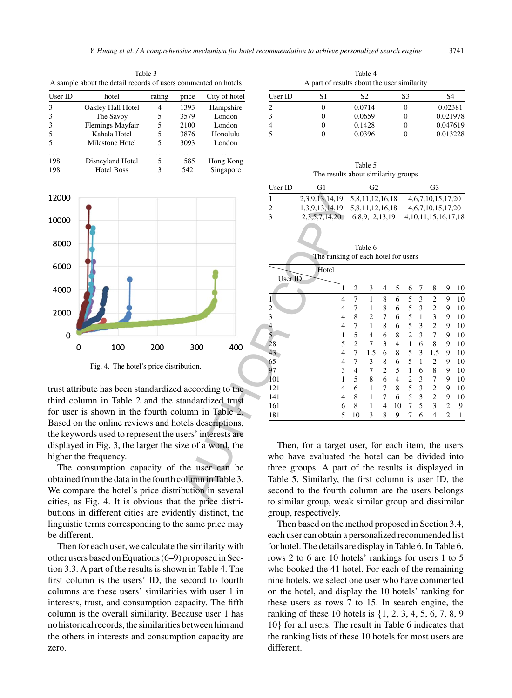|         | A sample about the detail records of users commented on hotels |        |       |               |
|---------|----------------------------------------------------------------|--------|-------|---------------|
| User ID | hotel                                                          | rating | price | City of hotel |
| 3       | Oakley Hall Hotel                                              | 4      | 1393  | Hampshire     |
| 3       | The Savoy                                                      | 5      | 3579  | London        |
| 3       | <b>Flemings Mayfair</b>                                        | 5      | 2100  | London        |
| 5       | Kahala Hotel                                                   | 5      | 3876  | Honolulu      |
| .5      | Milestone Hotel                                                | 5      | 3093  | London        |
|         |                                                                |        |       |               |
| 198     | Disneyland Hotel                                               | 5      | 1585  | Hong Kong     |
| 198     | <b>Hotel Boss</b>                                              | 3      | 542   | Singapore     |

Table 3 A sample about the detail records of users commented on hotels



Fig. 4. The hotel's price distribution.

trust attribute has been standardized according to the third column in Table 2 and the standardized trust for user is shown in the fourth column in Table 2. Based on the online reviews and hotels descriptions, the keywords used to represent the users' interests are displayed in Fig. 3, the larger the size of a word, the higher the frequency.

The consumption capacity of the user can be obtained from the data in the fourth column in Table 3. We compare the hotel's price distribution in several cities, as Fig. 4. It is obvious that the price distributions in different cities are evidently distinct, the linguistic terms corresponding to the same price may be different.

Then for each user, we calculate the similarity with other users based on Equations (6–9) proposed in Section 3.3. A part of the results is shown in Table 4. The first column is the users' ID, the second to fourth columns are these users' similarities with user 1 in interests, trust, and consumption capacity. The fifth column is the overall similarity. Because user 1 has no historical records, the similarities between him and the others in interests and consumption capacity are zero.

Table 4 A part of results about the user similarity

| User ID | S1 | S2     | S <sub>3</sub> | S4       |
|---------|----|--------|----------------|----------|
| 2       |    | 0.0714 |                | 0.02381  |
| 3       |    | 0.0659 |                | 0.021978 |
| 4       |    | 0.1428 |                | 0.047619 |
| 5       |    | 0.0396 |                | 0.013228 |

Table 5 The results about similarity groups

| User ID | G1                  | G2              | G <sub>3</sub>            |
|---------|---------------------|-----------------|---------------------------|
|         | 2, 3, 9, 13, 14, 19 | 5,8,11,12,16,18 | 4, 6, 7, 10, 15, 17, 20   |
| 2       | 1, 3, 9, 13, 14, 19 | 5,8,11,12,16,18 | 4, 6, 7, 10, 15, 17, 20   |
| 3       | 2, 3, 5, 7, 14, 20  | 6,8,9,12,13,19  | 4, 10, 11, 15, 16, 17, 18 |

|                     | 1                                | 2, 3, 9, 13, 14, 19                                  |                | 5,8,11,12,16,18     |                |                |                |                          | 4, 6, 7, 10, 15, 17, 20   |                |              |
|---------------------|----------------------------------|------------------------------------------------------|----------------|---------------------|----------------|----------------|----------------|--------------------------|---------------------------|----------------|--------------|
|                     | $\overline{c}$                   | 1,3,9,13,14,19                                       |                | 5,8,11,12,16,18     |                |                |                |                          | 4, 6, 7, 10, 15, 17, 20   |                |              |
|                     | 3                                | 2,3,5,7,14,20                                        |                | 6,8,9,12,13,19      |                |                |                |                          | 4, 10, 11, 15, 16, 17, 18 |                |              |
|                     |                                  |                                                      |                | Table 6             |                |                |                |                          |                           |                |              |
|                     |                                  | The ranking of each hotel for users                  |                |                     |                |                |                |                          |                           |                |              |
|                     |                                  | Hotel                                                |                |                     |                |                |                |                          |                           |                |              |
|                     | User ID                          | 1                                                    | $\overline{2}$ | 3                   | 4              | 5              | 6              | 7                        | 8                         | 9              | 10           |
|                     |                                  |                                                      |                |                     |                |                |                |                          |                           |                |              |
|                     | 1                                | $\overline{4}$                                       | $\tau$         | $\mathbf{1}$        | 8              | 6              | 5              | 3                        | $\overline{c}$            | 9              | 10           |
|                     | $\overline{c}$<br>$\overline{3}$ | 4<br>4                                               | 7<br>8         | 1<br>$\overline{2}$ | 8<br>7         | 6<br>6         | 5<br>5         | 3<br>$\mathbf{1}$        | $\overline{c}$<br>3       | 9<br>9         | 10<br>10     |
|                     | 4                                | $\overline{4}$                                       | 7              | $\mathbf{1}$        | 8              | 6              | 5              | 3                        | $\overline{c}$            | 9              | 10           |
|                     | 5                                | 1                                                    | 5              | $\overline{4}$      | 6              | 8              | $\overline{2}$ | 3                        | 7                         | 9              | 10           |
|                     | 28                               | 5                                                    | $\overline{2}$ | 7                   | 3              | $\overline{4}$ | $\mathbf{1}$   | 6                        | 8                         | 9              | 10           |
| 400<br>300          | 43                               | $\overline{4}$                                       | $\overline{7}$ | 1.5                 | 6              | 8              | 5              | 3                        | 1.5                       | 9              | 10           |
|                     | 65                               | 4                                                    | $\overline{7}$ | 3                   | 8              | 6              | 5              | $\mathbf{1}$             | $\overline{c}$            | 9              | 10           |
| bution.             | 97                               | 3                                                    | $\overline{4}$ | 7                   | $\overline{c}$ | 5              | $\mathbf{1}$   | 6                        | 8                         | 9              | 10           |
|                     | 101                              | 1                                                    | 5              | 8                   | 6              | $\overline{4}$ | $\overline{c}$ | 3                        | 7                         | 9              | 10           |
| according to the    | 121                              | $\overline{\mathbf{4}}$                              | 6              | 1                   | $\overline{7}$ | 8              | 5              | 3                        | $\overline{c}$            | 9              | 10           |
| andardized trust    | 141                              | $\overline{4}$                                       | 8              | 1                   | 7              | 6              | 5              | 3                        | $\overline{2}$            | 9              | 10           |
|                     | 161                              | 6                                                    | 8              | 1                   | $\overline{4}$ | 10             | $\tau$         | $\overline{\phantom{0}}$ | 3                         | $\overline{c}$ | 9            |
| umn in Table 2.     | 181                              | 5                                                    | 10             | 3                   | 8              | 9              | 7              | 6                        | $\overline{4}$            | $\overline{c}$ | $\mathbf{1}$ |
| tels descriptions,  |                                  |                                                      |                |                     |                |                |                |                          |                           |                |              |
| sers' interests are |                                  |                                                      |                |                     |                |                |                |                          |                           |                |              |
| ze of a word, the   |                                  | Then, for a target user, for each item, the users    |                |                     |                |                |                |                          |                           |                |              |
|                     |                                  | who have evaluated the hotel can be divided into     |                |                     |                |                |                |                          |                           |                |              |
| he user can be      |                                  | three groups. A part of the results is displayed in  |                |                     |                |                |                |                          |                           |                |              |
| olumn in Table 3.   |                                  | Table 5. Similarly, the first column is user ID, the |                |                     |                |                |                |                          |                           |                |              |
| bution in several   |                                  | second to the fourth column are the users belongs    |                |                     |                |                |                |                          |                           |                |              |
|                     |                                  |                                                      |                |                     |                |                |                |                          |                           |                |              |
| the price distri-   |                                  | to similar group, weak similar group and dissimilar  |                |                     |                |                |                |                          |                           |                |              |

Then, for a target user, for each item, the users who have evaluated the hotel can be divided into three groups. A part of the results is displayed in Table 5. Similarly, the first column is user ID, the second to the fourth column are the users belongs to similar group, weak similar group and dissimilar group, respectively.

Then based on the method proposed in Section 3.4, each user can obtain a personalized recommended list for hotel. The details are display in Table 6. In Table 6, rows 2 to 6 are 10 hotels' rankings for users 1 to 5 who booked the 41 hotel. For each of the remaining nine hotels, we select one user who have commented on the hotel, and display the 10 hotels' ranking for these users as rows 7 to 15. In search engine, the ranking of these 10 hotels is {1, 2, 3, 4, 5, 6, 7, 8, 9 10} for all users. The result in Table 6 indicates that the ranking lists of these 10 hotels for most users are different.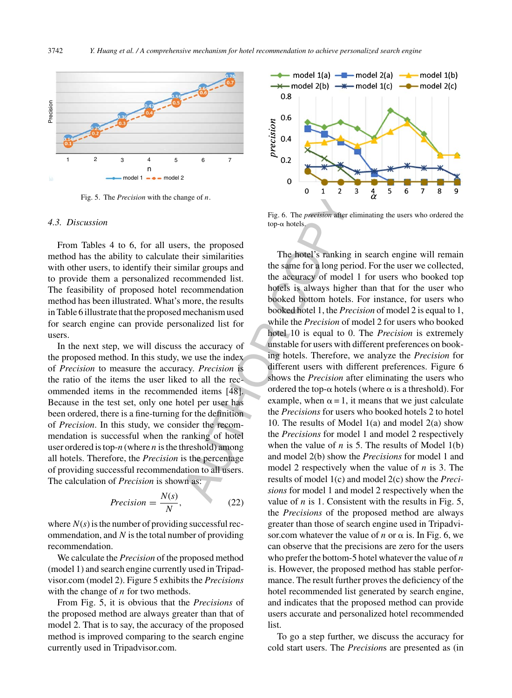

Fig. 5. The *Precision* with the change of *n*.

#### *4.3. Discussion*

From Tables 4 to 6, for all users, the proposed method has the ability to calculate their similarities with other users, to identify their similar groups and to provide them a personalized recommended list. The feasibility of proposed hotel recommendation method has been illustrated. What's more, the results in Table 6 illustrate that the proposed mechanism used for search engine can provide personalized list for users.

In the next step, we will discuss the accuracy of the proposed method. In this study, we use the index of *Precision* to measure the accuracy. *Precision* is the ratio of the items the user liked to all the recommended items in the recommended items [48]. Because in the test set, only one hotel per user has been ordered, there is a fine-turning for the definition of *Precision*. In this study, we consider the recommendation is successful when the ranking of hotel user ordered is top-*n* (where *n* is the threshold) among all hotels. Therefore, the *Precision* is the percentage of providing successful recommendation to all users. The calculation of *Precision* is shown as:

$$
Precision = \frac{N(s)}{N},\tag{22}
$$

where  $N(s)$  is the number of providing successful recommendation, and *N* is the total number of providing recommendation.

We calculate the *Precision* of the proposed method (model 1) and search engine currently used in Tripadvisor.com (model 2). Figure 5 exhibits the *Precisions* with the change of *n* for two methods.

From Fig. 5, it is obvious that the *Precisions* of the proposed method are always greater than that of model 2. That is to say, the accuracy of the proposed method is improved comparing to the search engine currently used in Tripadvisor.com.



Fig. 6. The *precision* after eliminating the users who ordered the  $top-\alpha$  hotels.

ange of *n*.<br>
Fig. 6. The *precision* after<br>
top- $\alpha$  hotels.<br>
The hotel's ranking<br>
their similarities<br>
milar groups and<br>
the same for a long pe<br>
commended list.<br>
the accuracy of mode<br>
hotel's is always high<br>
more, the re The hotel's ranking in search engine will remain the same for a long period. For the user we collected, the accuracy of model 1 for users who booked top hotels is always higher than that for the user who booked bottom hotels. For instance, for users who booked hotel 1, the *Precision* of model 2 is equal to 1, while the *Precision* of model 2 for users who booked hotel 10 is equal to 0. The *Precision* is extremely unstable for users with different preferences on booking hotels. Therefore, we analyze the *Precision* for different users with different preferences. Figure 6 shows the *Precision* after eliminating the users who ordered the top- $\alpha$  hotels (where  $\alpha$  is a threshold). For example, when  $\alpha = 1$ , it means that we just calculate the *Precisions* for users who booked hotels 2 to hotel 10. The results of Model 1(a) and model 2(a) show the *Precisions* for model 1 and model 2 respectively when the value of  $n$  is 5. The results of Model 1(b) and model 2(b) show the *Precisions* for model 1 and model 2 respectively when the value of *n* is 3. The results of model 1(c) and model 2(c) show the *Precisions* for model 1 and model 2 respectively when the value of  $n$  is 1. Consistent with the results in Fig. 5, the *Precisions* of the proposed method are always greater than those of search engine used in Tripadvisor.com whatever the value of *n* or  $\alpha$  is. In Fig. 6, we can observe that the precisions are zero for the users who prefer the bottom-5 hotel whatever the value of *n* is. However, the proposed method has stable performance. The result further proves the deficiency of the hotel recommended list generated by search engine, and indicates that the proposed method can provide users accurate and personalized hotel recommended list.

> To go a step further, we discuss the accuracy for cold start users. The *Precision*s are presented as (in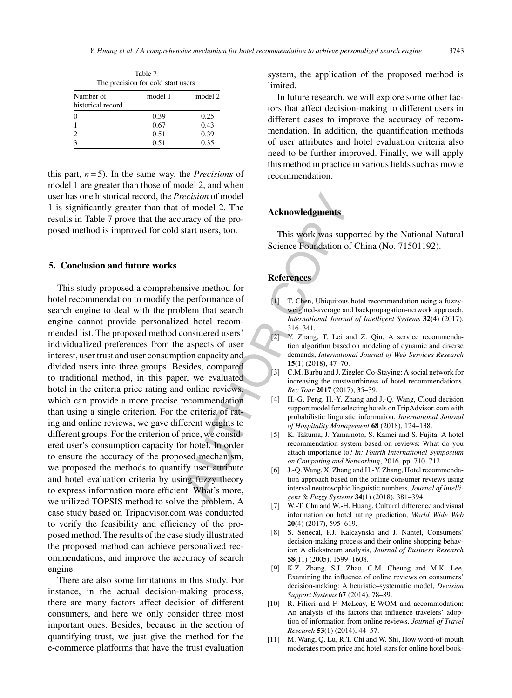| тавне 7<br>The precision for cold start users |         |         |  |  |  |
|-----------------------------------------------|---------|---------|--|--|--|
| Number of<br>historical record                | model 1 | model 2 |  |  |  |
| $\Omega$                                      | 0.39    | 0.25    |  |  |  |
|                                               | 0.67    | 0.43    |  |  |  |
| $\overline{c}$                                | 0.51    | 0.39    |  |  |  |
| $\mathbf{3}$                                  | 0.51    | 0.35    |  |  |  |

 $T<sub>T</sub>$ 

this part,  $n = 5$ ). In the same way, the *Precisions* of model 1 are greater than those of model 2, and when user has one historical record, the *Precision* of model 1 is significantly greater than that of model 2. The results in Table 7 prove that the accuracy of the proposed method is improved for cold start users, too.

#### **5. Conclusion and future works**

**Example 18**<br>
Example 18 and 2. The<br>
uracy of the pro-<br>
start users, too. This work was supp<br>
Science Foundation of<br>
the pro-<br>
Start users, too. This work was supp<br>
Science Foundation of<br>
the performance of<br>
the performan This study proposed a comprehensive method for hotel recommendation to modify the performance of search engine to deal with the problem that search engine cannot provide personalized hotel recommended list. The proposed method considered users' individualized preferences from the aspects of user interest, user trust and user consumption capacity and divided users into three groups. Besides, compared to traditional method, in this paper, we evaluated hotel in the criteria price rating and online reviews, which can provide a more precise recommendation than using a single criterion. For the criteria of rating and online reviews, we gave different weights to different groups. For the criterion of price, we considered user's consumption capacity for hotel. In order to ensure the accuracy of the proposed mechanism, we proposed the methods to quantify user attribute and hotel evaluation criteria by using fuzzy theory to express information more efficient. What's more, we utilized TOPSIS method to solve the problem. A case study based on Tripadvisor.com was conducted to verify the feasibility and efficiency of the proposed method. The results of the case study illustrated the proposed method can achieve personalized recommendations, and improve the accuracy of search engine.

There are also some limitations in this study. For instance, in the actual decision-making process, there are many factors affect decision of different consumers, and here we only consider three most important ones. Besides, because in the section of quantifying trust, we just give the method for the e-commerce platforms that have the trust evaluation

system, the application of the proposed method is limited.

In future research, we will explore some other factors that affect decision-making to different users in different cases to improve the accuracy of recommendation. In addition, the quantification methods of user attributes and hotel evaluation criteria also need to be further improved. Finally, we will apply this method in practice in various fields such as movie recommendation.

#### **Acknowledgments**

This work was supported by the National Natural Science Foundation of China (No. 71501192).

## **References**

- [1] T. Chen, Ubiquitous hotel recommendation using a fuzzyweighted-average and backpropagation-network approach, *International Journal of Intelligent Systems* **32**(4) (2017), 316–341.
- [2] Y. Zhang, T. Lei and Z. Qin, A service recommendation algorithm based on modeling of dynamic and diverse demands, *International Journal of Web Services Research* **15**(1) (2018), 47–70.
- [3] C.M. Barbu and J. Ziegler, Co-Staying: A social network for increasing the trustworthiness of hotel recommendations, *Rec Tour* **2017** (2017), 35–39.
- [4] H.-G. Peng, H.-Y. Zhang and J.-Q. Wang, Cloud decision support model for selecting hotels on TripAdvisor. com with probabilistic linguistic information, *International Journal of Hospitality Management* **68** (2018), 124–138.
- [5] K. Takuma, J. Yamamoto, S. Kamei and S. Fujita, A hotel recommendation system based on reviews: What do you attach importance to? *In: Fourth International Symposium on Computing and Networking*, 2016, pp. 710–712.
- [6] J.-Q. Wang, X. Zhang and H.-Y. Zhang, Hotel recommendation approach based on the online consumer reviews using interval neutrosophic linguistic numbers, *Journal of Intelligent* & *Fuzzy Systems* **34**(1) (2018), 381–394.
- [7] W.-T. Chu and W.-H. Huang, Cultural difference and visual information on hotel rating prediction, *World Wide Web* **20**(4) (2017), 595–619.
- [8] S. Senecal, P.J. Kalczynski and J. Nantel, Consumers' decision-making process and their online shopping behavior: A clickstream analysis, *Journal of Business Research* **58**(11) (2005), 1599–1608.
- [9] K.Z. Zhang, S.J. Zhao, C.M. Cheung and M.K. Lee, Examining the influence of online reviews on consumers' decision-making: A heuristic–systematic model, *Decision Support Systems* **67** (2014), 78–89.
- [10] R. Filieri and F. McLeay, E-WOM and accommodation: An analysis of the factors that influence travelers' adoption of information from online reviews, *Journal of Travel Research* **53**(1) (2014), 44–57.
- [11] M. Wang, Q. Lu, R.T. Chi and W. Shi, How word-of-mouth moderates room price and hotel stars for online hotel book-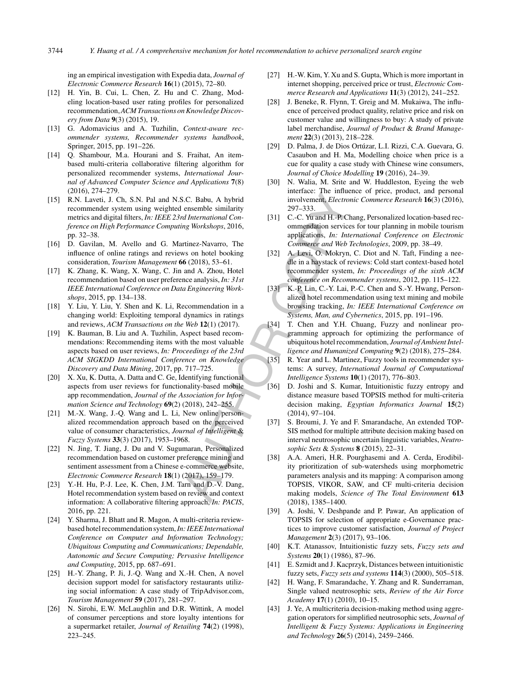ing an empirical investigation with Expedia data, *Journal of Electronic Commerce Research* **16**(1) (2015), 72–80.

- [12] H. Yin, B. Cui, L. Chen, Z. Hu and C. Zhang, Modeling location-based user rating profiles for personalized recommendation,*ACM Transactions on Knowledge Discovery from Data* **9**(3) (2015), 19.
- [13] G. Adomavicius and A. Tuzhilin, *Context-aware recommender systems, Recommender systems handbook*, Springer, 2015, pp. 191–226.
- [14] Q. Shambour, M.a. Hourani and S. Fraihat, An itembased multi-criteria collaborative filtering algorithm for personalized recommender systems, *International Journal of Advanced Computer Science and Applications* **7**(8) (2016), 274–279.
- [15] R.N. Laveti, J. Ch, S.N. Pal and N.S.C. Babu, A hybrid recommender system using weighted ensemble similarity metrics and digital filters, *In: IEEE 23rd International Conference on High Performance Computing Workshops*, 2016, pp. 32–38.
- [16] D. Gavilan, M. Avello and G. Martinez-Navarro, The influence of online ratings and reviews on hotel booking consideration, *Tourism Management* **66** (2018), 53–61.
- [17] K. Zhang, K. Wang, X. Wang, C. Jin and A. Zhou, Hotel recommendation based on user preference analysis, *In: 31st IEEE International Conference on Data Engineering Workshops*, 2015, pp. 134–138.
- [18] Y. Liu, Y. Liu, Y. Shen and K. Li, Recommendation in a changing world: Exploiting temporal dynamics in ratings and reviews, *ACM Transactions on the Web* **12**(1) (2017).
- [19] K. Bauman, B. Liu and A. Tuzhilin, Aspect based recommendations: Recommending items with the most valuable aspects based on user reviews, *In: Proceedings of the 23rd ACM SIGKDD International Conference on Knowledge Discovery and Data Mining*, 2017, pp. 717–725.
- [20] X. Xu, K. Dutta, A. Datta and C. Ge, Identifying functional aspects from user reviews for functionality-based mobile app recommendation, *Journal of the Association for Information Science and Technology* **69**(2) (2018), 242–255.
- [21] M.-X. Wang, J.-Q. Wang and L. Li, New online personalized recommendation approach based on the perceived value of consumer characteristics, *Journal of Intelligent* & *Fuzzy Systems* **33**(3) (2017), 1953–1968.
- [22] N. Jing, T. Jiang, J. Du and V. Sugumaran, Personalized recommendation based on customer preference mining and sentiment assessment from a Chinese e-commerce website, *Electronic Commerce Research* **18**(1) (2017), 159–179.
- [23] Y.-H. Hu, P.-J. Lee, K. Chen, J.M. Tarn and D.-V. Dang, Hotel recommendation system based on review and context information: A collaborative filtering approach, *In: PACIS*, 2016, pp. 221.
- [24] Y. Sharma, J. Bhatt and R. Magon, A multi-criteria reviewbased hotel recommendation system,*In: IEEE International Conference on Computer and Information Technology; Ubiquitous Computing and Communications; Dependable, Autonomic and Secure Computing; Pervasive Intelligence and Computing*, 2015, pp. 687–691.
- [25] H.-Y. Zhang, P. Ji, J.-Q. Wang and X.-H. Chen, A novel decision support model for satisfactory restaurants utilizing social information: A case study of TripAdvisor.com, *Tourism Management* **59** (2017), 281–297.
- [26] N. Sirohi, E.W. McLaughlin and D.R. Wittink, A model of consumer perceptions and store loyalty intentions for a supermarket retailer, *Journal of Retailing* **74**(2) (1998), 223–245.
- [27] H.-W. Kim, Y. Xu and S. Gupta, Which is more important in internet shopping, perceived price or trust, *Electronic Commerce Research and Applications* **11**(3) (2012), 241–252.
- [28] J. Beneke, R. Flynn, T. Greig and M. Mukaiwa, The influence of perceived product quality, relative price and risk on customer value and willingness to buy: A study of private label merchandise, *Journal of Product* & *Brand Management* **22**(3) (2013), 218–228.
- [29] D. Palma, J. de Dios Ortúzar, L.I. Rizzi, C.A. Guevara, G. Casaubon and H. Ma, Modelling choice when price is a cue for quality a case study with Chinese wine consumers, *Journal of Choice Modelling* **19** (2016), 24–39.
- [30] N. Walia, M. Srite and W. Huddleston, Eyeing the web interface: The influence of price, product, and personal involvement, *Electronic Commerce Research* **16**(3) (2016), 297–333.
- [31] C.-C. Yu and H.-P. Chang, Personalized location-based recommendation services for tour planning in mobile tourism applications, *In: International Conference on Electronic Commerce and Web Technologies*, 2009, pp. 38–49.
- [32] A. Levi, O. Mokryn, C. Diot and N. Taft, Finding a needle in a haystack of reviews: Cold start context-based hotel recommender system, *In: Proceedings of the sixth ACM conference on Recommender systems*, 2012, pp. 115–122.
- [33] K.-P. Lin, C.-Y. Lai, P.-C. Chen and S.-Y. Hwang, Personalized hotel recommendation using text mining and mobile browsing tracking, *In: IEEE International Conference on Systems, Man, and Cybernetics*, 2015, pp. 191–196.
- [34] T. Chen and Y.H. Chuang, Fuzzy and nonlinear programming approach for optimizing the performance of ubiquitous hotel recommendation, *Journal of Ambient Intelligence and Humanized Computing* **9**(2) (2018), 275–284.
- [35] R. Year and L. Martinez, Fuzzy tools in recommender systems: A survey, *International Journal of Computational Intelligence Systems* **10**(1) (2017), 776–803.
- [36] D. Joshi and S. Kumar, Intuitionistic fuzzy entropy and distance measure based TOPSIS method for multi-criteria decision making, *Egyptian Informatics Journal* **15**(2) (2014), 97–104.
- [37] S. Broumi, J. Ye and F. Smarandache, An extended TOP-SIS method for multiple attribute decision making based on interval neutrosophic uncertain linguistic variables, *Neutrosophic Sets* & *Systems* **8** (2015), 22–31.
- S.C. Babu, A hybrid involvement, *Electro*<br>
ensemble similarity 297–333.<br>
and *International Con*-<br>
involvement, *Electro*<br>
ensemble similarity 297–333.<br>
and H.-P. C. Yu and H.-P. Commerce and Web<br>
son hotel booking<br>
son [38] A.A. Ameri, H.R. Pourghasemi and A. Cerda, Erodibility prioritization of sub-watersheds using morphometric parameters analysis and its mapping: A comparison among TOPSIS, VIKOR, SAW, and CF multi-criteria decision making models, *Science of The Total Environment* **613** (2018), 1385–1400.
	- [39] A. Joshi, V. Deshpande and P. Pawar, An application of TOPSIS for selection of appropriate e-Governance practices to improve customer satisfaction, *Journal of Project Management* **2**(3) (2017), 93–106.
	- [40] K.T. Atanassov, Intuitionistic fuzzy sets, *Fuzzy sets and Systems* **20**(1) (1986), 87–96.
	- [41] E. Szmidt and J. Kacprzyk, Distances between intuitionistic fuzzy sets, *Fuzzy sets and systems* **114**(3) (2000), 505–518.
	- [42] H. Wang, F. Smarandache, Y. Zhang and R. Sunderraman, Single valued neutrosophic sets, *Review of the Air Force Academy* **17**(1) (2010), 10–15.
	- [43] J. Ye, A multicriteria decision-making method using aggregation operators for simplified neutrosophic sets, *Journal of Intelligent* & *Fuzzy Systems: Applications in Engineering and Technology* **26**(5) (2014), 2459–2466.